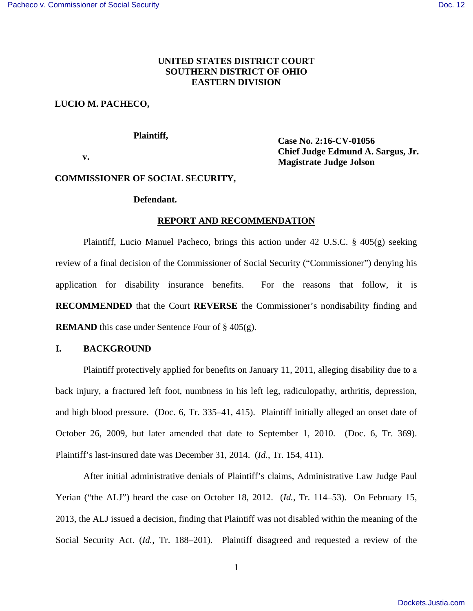# **UNITED STATES DISTRICT COURT SOUTHERN DISTRICT OF OHIO EASTERN DIVISION**

# **LUCIO M. PACHECO,**

## **Plaintiff,**

 **v.** 

 **Case No. 2:16-CV-01056 Chief Judge Edmund A. Sargus, Jr. Magistrate Judge Jolson** 

# **COMMISSIONER OF SOCIAL SECURITY,**

### **Defendant.**

#### **REPORT AND RECOMMENDATION**

 Plaintiff, Lucio Manuel Pacheco, brings this action under 42 U.S.C. § 405(g) seeking review of a final decision of the Commissioner of Social Security ("Commissioner") denying his application for disability insurance benefits. For the reasons that follow, it is **RECOMMENDED** that the Court **REVERSE** the Commissioner's nondisability finding and **REMAND** this case under Sentence Four of § 405(g).

# **I. BACKGROUND**

Plaintiff protectively applied for benefits on January 11, 2011, alleging disability due to a back injury, a fractured left foot, numbness in his left leg, radiculopathy, arthritis, depression, and high blood pressure. (Doc. 6, Tr. 335–41, 415). Plaintiff initially alleged an onset date of October 26, 2009, but later amended that date to September 1, 2010. (Doc. 6, Tr. 369). Plaintiff's last-insured date was December 31, 2014. (*Id.*, Tr. 154, 411).

After initial administrative denials of Plaintiff's claims, Administrative Law Judge Paul Yerian ("the ALJ") heard the case on October 18, 2012. (*Id.*, Tr. 114–53). On February 15, 2013, the ALJ issued a decision, finding that Plaintiff was not disabled within the meaning of the Social Security Act. (*Id.*, Tr. 188–201). Plaintiff disagreed and requested a review of the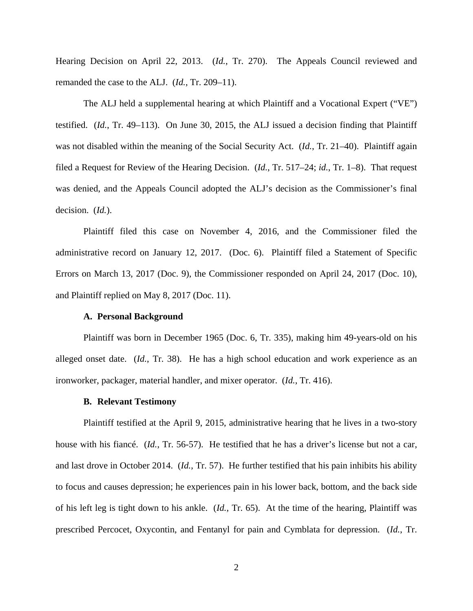Hearing Decision on April 22, 2013. (*Id.*, Tr. 270). The Appeals Council reviewed and remanded the case to the ALJ. (*Id.*, Tr. 209–11).

The ALJ held a supplemental hearing at which Plaintiff and a Vocational Expert ("VE") testified. (*Id.*, Tr. 49–113). On June 30, 2015, the ALJ issued a decision finding that Plaintiff was not disabled within the meaning of the Social Security Act. (*Id.*, Tr. 21–40). Plaintiff again filed a Request for Review of the Hearing Decision. (*Id.*, Tr. 517–24; *id.*, Tr. 1–8). That request was denied, and the Appeals Council adopted the ALJ's decision as the Commissioner's final decision. (*Id.*).

 Plaintiff filed this case on November 4, 2016, and the Commissioner filed the administrative record on January 12, 2017. (Doc. 6). Plaintiff filed a Statement of Specific Errors on March 13, 2017 (Doc. 9), the Commissioner responded on April 24, 2017 (Doc. 10), and Plaintiff replied on May 8, 2017 (Doc. 11).

#### **A. Personal Background**

Plaintiff was born in December 1965 (Doc. 6, Tr. 335), making him 49-years-old on his alleged onset date. (*Id.*, Tr. 38). He has a high school education and work experience as an ironworker, packager, material handler, and mixer operator. (*Id.*, Tr. 416).

#### **B. Relevant Testimony**

Plaintiff testified at the April 9, 2015, administrative hearing that he lives in a two-story house with his fiancé. (*Id.*, Tr. 56-57). He testified that he has a driver's license but not a car, and last drove in October 2014. (*Id.*, Tr. 57). He further testified that his pain inhibits his ability to focus and causes depression; he experiences pain in his lower back, bottom, and the back side of his left leg is tight down to his ankle. (*Id.*, Tr. 65). At the time of the hearing, Plaintiff was prescribed Percocet, Oxycontin, and Fentanyl for pain and Cymblata for depression. (*Id.*, Tr.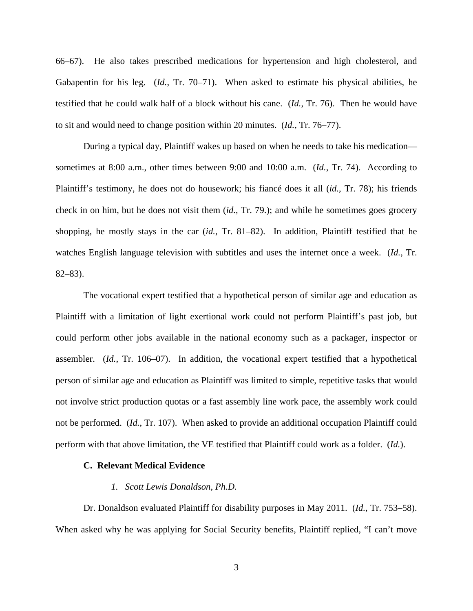66–67). He also takes prescribed medications for hypertension and high cholesterol, and Gabapentin for his leg. (*Id.*, Tr. 70–71). When asked to estimate his physical abilities, he testified that he could walk half of a block without his cane. (*Id.*, Tr. 76). Then he would have to sit and would need to change position within 20 minutes. (*Id.*, Tr. 76–77).

During a typical day, Plaintiff wakes up based on when he needs to take his medication sometimes at 8:00 a.m., other times between 9:00 and 10:00 a.m. (*Id.*, Tr. 74). According to Plaintiff's testimony, he does not do housework; his fiancé does it all (*id.*, Tr. 78); his friends check in on him, but he does not visit them (*id.*, Tr. 79.); and while he sometimes goes grocery shopping, he mostly stays in the car (*id.*, Tr. 81–82). In addition, Plaintiff testified that he watches English language television with subtitles and uses the internet once a week. (*Id.*, Tr. 82–83).

The vocational expert testified that a hypothetical person of similar age and education as Plaintiff with a limitation of light exertional work could not perform Plaintiff's past job, but could perform other jobs available in the national economy such as a packager, inspector or assembler. (*Id.*, Tr. 106–07). In addition, the vocational expert testified that a hypothetical person of similar age and education as Plaintiff was limited to simple, repetitive tasks that would not involve strict production quotas or a fast assembly line work pace, the assembly work could not be performed. (*Id.*, Tr. 107). When asked to provide an additional occupation Plaintiff could perform with that above limitation, the VE testified that Plaintiff could work as a folder. (*Id.*).

## **C. Relevant Medical Evidence**

#### *1. Scott Lewis Donaldson, Ph.D.*

Dr. Donaldson evaluated Plaintiff for disability purposes in May 2011. (*Id.*, Tr. 753–58). When asked why he was applying for Social Security benefits, Plaintiff replied, "I can't move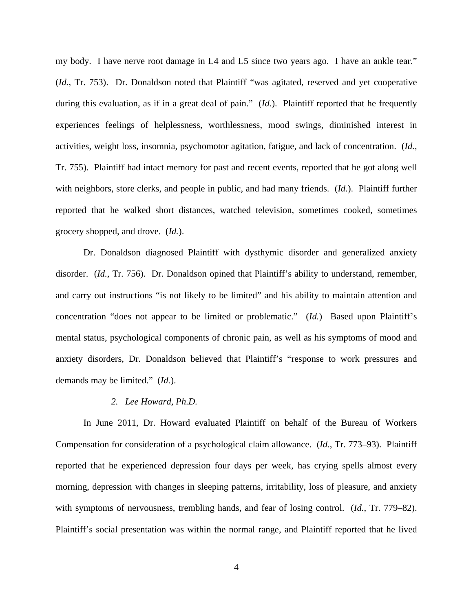my body. I have nerve root damage in L4 and L5 since two years ago. I have an ankle tear." (*Id.*, Tr. 753). Dr. Donaldson noted that Plaintiff "was agitated, reserved and yet cooperative during this evaluation, as if in a great deal of pain." (*Id.*). Plaintiff reported that he frequently experiences feelings of helplessness, worthlessness, mood swings, diminished interest in activities, weight loss, insomnia, psychomotor agitation, fatigue, and lack of concentration. (*Id.*, Tr. 755). Plaintiff had intact memory for past and recent events, reported that he got along well with neighbors, store clerks, and people in public, and had many friends. (*Id.*). Plaintiff further reported that he walked short distances, watched television, sometimes cooked, sometimes grocery shopped, and drove. (*Id.*).

Dr. Donaldson diagnosed Plaintiff with dysthymic disorder and generalized anxiety disorder. (*Id.*, Tr. 756). Dr. Donaldson opined that Plaintiff's ability to understand, remember, and carry out instructions "is not likely to be limited" and his ability to maintain attention and concentration "does not appear to be limited or problematic." (*Id.*) Based upon Plaintiff's mental status, psychological components of chronic pain, as well as his symptoms of mood and anxiety disorders, Dr. Donaldson believed that Plaintiff's "response to work pressures and demands may be limited." (*Id.*).

# *2. Lee Howard, Ph.D.*

In June 2011, Dr. Howard evaluated Plaintiff on behalf of the Bureau of Workers Compensation for consideration of a psychological claim allowance. (*Id.*, Tr. 773–93). Plaintiff reported that he experienced depression four days per week, has crying spells almost every morning, depression with changes in sleeping patterns, irritability, loss of pleasure, and anxiety with symptoms of nervousness, trembling hands, and fear of losing control. (*Id.*, Tr. 779–82). Plaintiff's social presentation was within the normal range, and Plaintiff reported that he lived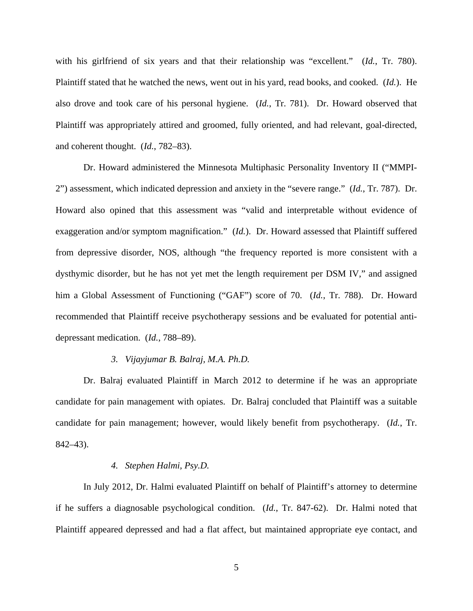with his girlfriend of six years and that their relationship was "excellent." (*Id.*, Tr. 780). Plaintiff stated that he watched the news, went out in his yard, read books, and cooked. (*Id.*). He also drove and took care of his personal hygiene. (*Id.*, Tr. 781). Dr. Howard observed that Plaintiff was appropriately attired and groomed, fully oriented, and had relevant, goal-directed, and coherent thought. (*Id.*, 782–83).

Dr. Howard administered the Minnesota Multiphasic Personality Inventory II ("MMPI-2") assessment, which indicated depression and anxiety in the "severe range." (*Id.*, Tr. 787). Dr. Howard also opined that this assessment was "valid and interpretable without evidence of exaggeration and/or symptom magnification." (*Id.*). Dr. Howard assessed that Plaintiff suffered from depressive disorder, NOS, although "the frequency reported is more consistent with a dysthymic disorder, but he has not yet met the length requirement per DSM IV," and assigned him a Global Assessment of Functioning ("GAF") score of 70. (*Id.*, Tr. 788). Dr. Howard recommended that Plaintiff receive psychotherapy sessions and be evaluated for potential antidepressant medication. (*Id.*, 788–89).

## *3. Vijayjumar B. Balraj, M.A. Ph.D.*

Dr. Balraj evaluated Plaintiff in March 2012 to determine if he was an appropriate candidate for pain management with opiates. Dr. Balraj concluded that Plaintiff was a suitable candidate for pain management; however, would likely benefit from psychotherapy. (*Id.*, Tr. 842–43).

#### *4. Stephen Halmi, Psy.D.*

In July 2012, Dr. Halmi evaluated Plaintiff on behalf of Plaintiff's attorney to determine if he suffers a diagnosable psychological condition. (*Id.*, Tr. 847-62). Dr. Halmi noted that Plaintiff appeared depressed and had a flat affect, but maintained appropriate eye contact, and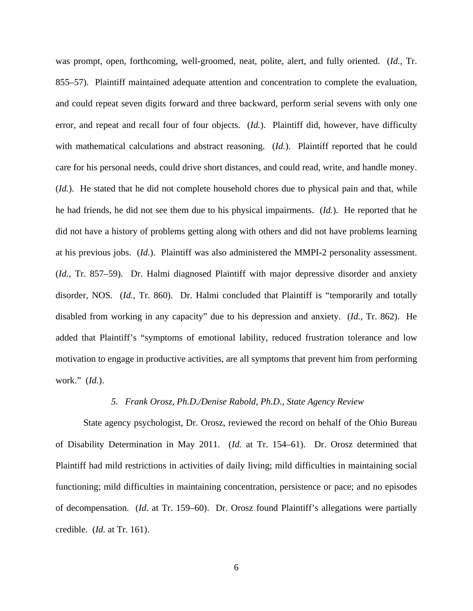was prompt, open, forthcoming, well-groomed, neat, polite, alert, and fully oriented. (*Id.*, Tr. 855–57). Plaintiff maintained adequate attention and concentration to complete the evaluation, and could repeat seven digits forward and three backward, perform serial sevens with only one error, and repeat and recall four of four objects. (*Id.*). Plaintiff did, however, have difficulty with mathematical calculations and abstract reasoning. (*Id.*). Plaintiff reported that he could care for his personal needs, could drive short distances, and could read, write, and handle money. (*Id.*). He stated that he did not complete household chores due to physical pain and that, while he had friends, he did not see them due to his physical impairments. (*Id.*). He reported that he did not have a history of problems getting along with others and did not have problems learning at his previous jobs. (*Id.*). Plaintiff was also administered the MMPI-2 personality assessment. (*Id.*, Tr. 857–59). Dr. Halmi diagnosed Plaintiff with major depressive disorder and anxiety disorder, NOS. (*Id.*, Tr. 860). Dr. Halmi concluded that Plaintiff is "temporarily and totally disabled from working in any capacity" due to his depression and anxiety. (*Id.*, Tr. 862). He added that Plaintiff's "symptoms of emotional lability, reduced frustration tolerance and low motivation to engage in productive activities, are all symptoms that prevent him from performing work." (*Id.*).

# *5. Frank Orosz, Ph.D./Denise Rabold, Ph.D., State Agency Review*

State agency psychologist, Dr. Orosz, reviewed the record on behalf of the Ohio Bureau of Disability Determination in May 2011. (*Id.* at Tr. 154–61). Dr. Orosz determined that Plaintiff had mild restrictions in activities of daily living; mild difficulties in maintaining social functioning; mild difficulties in maintaining concentration, persistence or pace; and no episodes of decompensation. (*Id*. at Tr. 159–60). Dr. Orosz found Plaintiff's allegations were partially credible. (*Id.* at Tr. 161).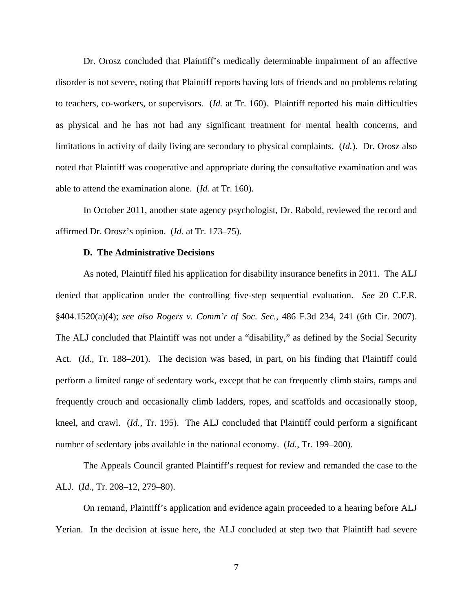Dr. Orosz concluded that Plaintiff's medically determinable impairment of an affective disorder is not severe, noting that Plaintiff reports having lots of friends and no problems relating to teachers, co-workers, or supervisors. (*Id.* at Tr. 160). Plaintiff reported his main difficulties as physical and he has not had any significant treatment for mental health concerns, and limitations in activity of daily living are secondary to physical complaints. (*Id.*). Dr. Orosz also noted that Plaintiff was cooperative and appropriate during the consultative examination and was able to attend the examination alone. (*Id.* at Tr. 160).

In October 2011, another state agency psychologist, Dr. Rabold, reviewed the record and affirmed Dr. Orosz's opinion. (*Id.* at Tr. 173–75).

## **D. The Administrative Decisions**

As noted, Plaintiff filed his application for disability insurance benefits in 2011. The ALJ denied that application under the controlling five-step sequential evaluation. *See* 20 C.F.R. §404.1520(a)(4); *see also Rogers v. Comm'r of Soc. Sec.*, 486 F.3d 234, 241 (6th Cir. 2007). The ALJ concluded that Plaintiff was not under a "disability," as defined by the Social Security Act. (*Id.*, Tr. 188–201). The decision was based, in part, on his finding that Plaintiff could perform a limited range of sedentary work, except that he can frequently climb stairs, ramps and frequently crouch and occasionally climb ladders, ropes, and scaffolds and occasionally stoop, kneel, and crawl. (*Id.*, Tr. 195). The ALJ concluded that Plaintiff could perform a significant number of sedentary jobs available in the national economy. (*Id.*, Tr. 199–200).

 The Appeals Council granted Plaintiff's request for review and remanded the case to the ALJ. (*Id.*, Tr. 208–12, 279–80).

On remand, Plaintiff's application and evidence again proceeded to a hearing before ALJ Yerian. In the decision at issue here, the ALJ concluded at step two that Plaintiff had severe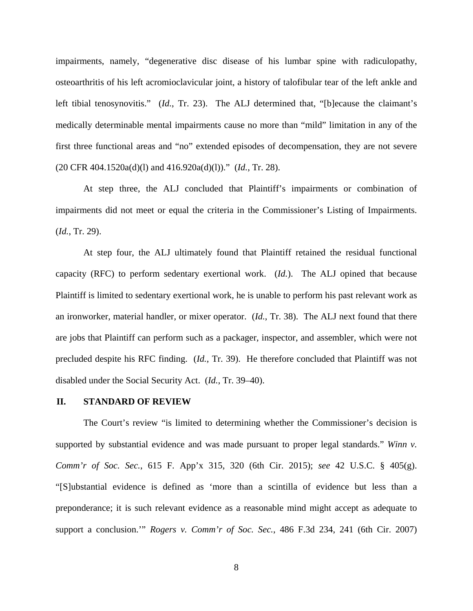impairments, namely, "degenerative disc disease of his lumbar spine with radiculopathy, osteoarthritis of his left acromioclavicular joint, a history of talofibular tear of the left ankle and left tibial tenosynovitis." (*Id.*, Tr. 23). The ALJ determined that, "[b]ecause the claimant's medically determinable mental impairments cause no more than "mild" limitation in any of the first three functional areas and "no" extended episodes of decompensation, they are not severe (20 CFR 404.1520a(d)(l) and 416.920a(d)(l))." (*Id.*, Tr. 28).

 At step three, the ALJ concluded that Plaintiff's impairments or combination of impairments did not meet or equal the criteria in the Commissioner's Listing of Impairments. (*Id.*, Tr. 29).

 At step four, the ALJ ultimately found that Plaintiff retained the residual functional capacity (RFC) to perform sedentary exertional work. (*Id.*). The ALJ opined that because Plaintiff is limited to sedentary exertional work, he is unable to perform his past relevant work as an ironworker, material handler, or mixer operator. (*Id.*, Tr. 38). The ALJ next found that there are jobs that Plaintiff can perform such as a packager, inspector, and assembler, which were not precluded despite his RFC finding. (*Id.*, Tr. 39). He therefore concluded that Plaintiff was not disabled under the Social Security Act. (*Id.*, Tr. 39–40).

#### **II. STANDARD OF REVIEW**

The Court's review "is limited to determining whether the Commissioner's decision is supported by substantial evidence and was made pursuant to proper legal standards." *Winn v. Comm'r of Soc. Sec.*, 615 F. App'x 315, 320 (6th Cir. 2015); *see* 42 U.S.C. § 405(g). "[S]ubstantial evidence is defined as 'more than a scintilla of evidence but less than a preponderance; it is such relevant evidence as a reasonable mind might accept as adequate to support a conclusion.'" *Rogers v. Comm'r of Soc. Sec.*, 486 F.3d 234, 241 (6th Cir. 2007)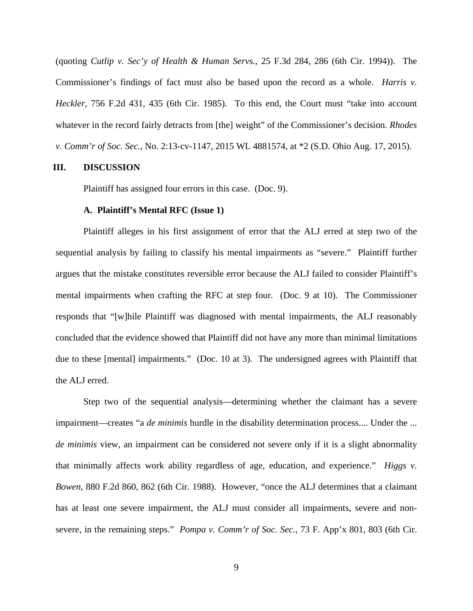(quoting *Cutlip v. Sec'y of Health & Human Servs.*, 25 F.3d 284, 286 (6th Cir. 1994)). The Commissioner's findings of fact must also be based upon the record as a whole. *Harris v. Heckler*, 756 F.2d 431, 435 (6th Cir. 1985). To this end, the Court must "take into account whatever in the record fairly detracts from [the] weight" of the Commissioner's decision. *Rhodes v. Comm'r of Soc. Sec.*, No. 2:13-cv-1147, 2015 WL 4881574, at \*2 (S.D. Ohio Aug. 17, 2015).

#### **III. DISCUSSION**

Plaintiff has assigned four errors in this case. (Doc. 9).

#### **A. Plaintiff's Mental RFC (Issue 1)**

Plaintiff alleges in his first assignment of error that the ALJ erred at step two of the sequential analysis by failing to classify his mental impairments as "severe." Plaintiff further argues that the mistake constitutes reversible error because the ALJ failed to consider Plaintiff's mental impairments when crafting the RFC at step four. (Doc. 9 at 10). The Commissioner responds that "[w]hile Plaintiff was diagnosed with mental impairments, the ALJ reasonably concluded that the evidence showed that Plaintiff did not have any more than minimal limitations due to these [mental] impairments." (Doc. 10 at 3). The undersigned agrees with Plaintiff that the ALJ erred.

Step two of the sequential analysis—determining whether the claimant has a severe impairment—creates "a *de minimis* hurdle in the disability determination process.... Under the ... *de minimis* view, an impairment can be considered not severe only if it is a slight abnormality that minimally affects work ability regardless of age, education, and experience." *Higgs v. Bowen*, 880 F.2d 860, 862 (6th Cir. 1988). However, "once the ALJ determines that a claimant has at least one severe impairment, the ALJ must consider all impairments, severe and nonsevere, in the remaining steps." *Pompa v. Comm'r of Soc. Sec.*, 73 F. App'x 801, 803 (6th Cir.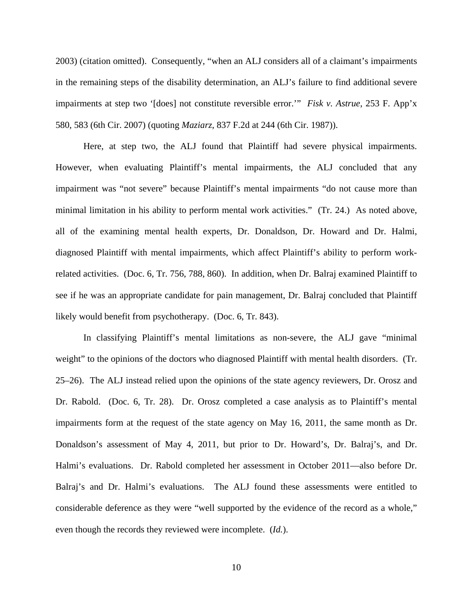2003) (citation omitted). Consequently, "when an ALJ considers all of a claimant's impairments in the remaining steps of the disability determination, an ALJ's failure to find additional severe impairments at step two '[does] not constitute reversible error.'" *Fisk v. Astrue*, 253 F. App'x 580, 583 (6th Cir. 2007) (quoting *Maziarz*, 837 F.2d at 244 (6th Cir. 1987)).

Here, at step two, the ALJ found that Plaintiff had severe physical impairments. However, when evaluating Plaintiff's mental impairments, the ALJ concluded that any impairment was "not severe" because Plaintiff's mental impairments "do not cause more than minimal limitation in his ability to perform mental work activities." (Tr. 24.) As noted above, all of the examining mental health experts, Dr. Donaldson, Dr. Howard and Dr. Halmi, diagnosed Plaintiff with mental impairments, which affect Plaintiff's ability to perform workrelated activities. (Doc. 6, Tr. 756, 788, 860). In addition, when Dr. Balraj examined Plaintiff to see if he was an appropriate candidate for pain management, Dr. Balraj concluded that Plaintiff likely would benefit from psychotherapy. (Doc. 6, Tr. 843).

In classifying Plaintiff's mental limitations as non-severe, the ALJ gave "minimal weight" to the opinions of the doctors who diagnosed Plaintiff with mental health disorders. (Tr. 25–26). The ALJ instead relied upon the opinions of the state agency reviewers, Dr. Orosz and Dr. Rabold. (Doc. 6, Tr. 28). Dr. Orosz completed a case analysis as to Plaintiff's mental impairments form at the request of the state agency on May 16, 2011, the same month as Dr. Donaldson's assessment of May 4, 2011, but prior to Dr. Howard's, Dr. Balraj's, and Dr. Halmi's evaluations. Dr. Rabold completed her assessment in October 2011—also before Dr. Balraj's and Dr. Halmi's evaluations. The ALJ found these assessments were entitled to considerable deference as they were "well supported by the evidence of the record as a whole," even though the records they reviewed were incomplete. (*Id.*).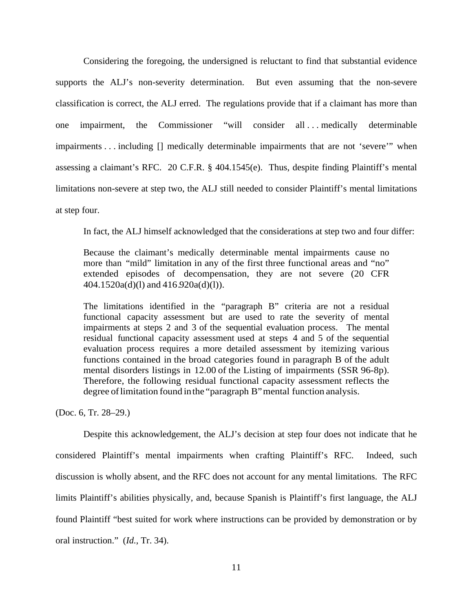Considering the foregoing, the undersigned is reluctant to find that substantial evidence supports the ALJ's non-severity determination. But even assuming that the non-severe classification is correct, the ALJ erred. The regulations provide that if a claimant has more than one impairment, the Commissioner "will consider all . . . medically determinable impairments . . . including [] medically determinable impairments that are not 'severe'" when assessing a claimant's RFC. 20 C.F.R. § 404.1545(e). Thus, despite finding Plaintiff's mental limitations non-severe at step two, the ALJ still needed to consider Plaintiff's mental limitations at step four.

In fact, the ALJ himself acknowledged that the considerations at step two and four differ:

Because the claimant's medically determinable mental impairments cause no more than "mild" limitation in any of the first three functional areas and "no" extended episodes of decompensation, they are not severe (20 CFR 404.1520a(d)(l) and 416.920a(d)(l)).

The limitations identified in the "paragraph B" criteria are not a residual functional capacity assessment but are used to rate the severity of mental impairments at steps 2 and 3 of the sequential evaluation process. The mental residual functional capacity assessment used at steps 4 and 5 of the sequential evaluation process requires a more detailed assessment by itemizing various functions contained in the broad categories found in paragraph B of the adult mental disorders listings in 12.00 of the Listing of impairments (SSR 96-8p). Therefore, the following residual functional capacity assessment reflects the degree of limitation found in the "paragraph B" mental function analysis.

(Doc. 6, Tr. 28–29.)

Despite this acknowledgement, the ALJ's decision at step four does not indicate that he considered Plaintiff's mental impairments when crafting Plaintiff's RFC. Indeed, such discussion is wholly absent, and the RFC does not account for any mental limitations. The RFC limits Plaintiff's abilities physically, and, because Spanish is Plaintiff's first language, the ALJ found Plaintiff "best suited for work where instructions can be provided by demonstration or by oral instruction." (*Id.*, Tr. 34).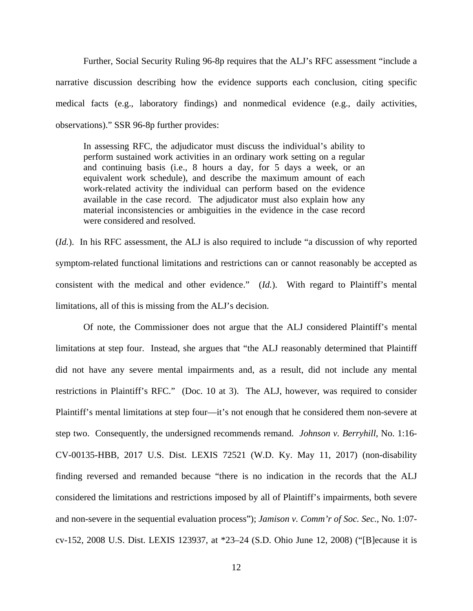Further, Social Security Ruling 96-8p requires that the ALJ's RFC assessment "include a narrative discussion describing how the evidence supports each conclusion, citing specific medical facts (e.g., laboratory findings) and nonmedical evidence (e.g., daily activities, observations)." SSR 96-8p further provides:

In assessing RFC, the adjudicator must discuss the individual's ability to perform sustained work activities in an ordinary work setting on a regular and continuing basis (i.e., 8 hours a day, for 5 days a week, or an equivalent work schedule), and describe the maximum amount of each work-related activity the individual can perform based on the evidence available in the case record. The adjudicator must also explain how any material inconsistencies or ambiguities in the evidence in the case record were considered and resolved.

(*Id.*). In his RFC assessment, the ALJ is also required to include "a discussion of why reported symptom-related functional limitations and restrictions can or cannot reasonably be accepted as consistent with the medical and other evidence." (*Id.*). With regard to Plaintiff's mental limitations, all of this is missing from the ALJ's decision.

Of note, the Commissioner does not argue that the ALJ considered Plaintiff's mental limitations at step four. Instead, she argues that "the ALJ reasonably determined that Plaintiff did not have any severe mental impairments and, as a result, did not include any mental restrictions in Plaintiff's RFC." (Doc. 10 at 3). The ALJ, however, was required to consider Plaintiff's mental limitations at step four—it's not enough that he considered them non-severe at step two. Consequently, the undersigned recommends remand. *Johnson v. Berryhill*, No. 1:16- CV-00135-HBB, 2017 U.S. Dist. LEXIS 72521 (W.D. Ky. May 11, 2017) (non-disability finding reversed and remanded because "there is no indication in the records that the ALJ considered the limitations and restrictions imposed by all of Plaintiff's impairments, both severe and non-severe in the sequential evaluation process"); *Jamison v. Comm'r of Soc. Sec.*, No. 1:07 cv-152, 2008 U.S. Dist. LEXIS 123937, at \*23–24 (S.D. Ohio June 12, 2008) ("[B]ecause it is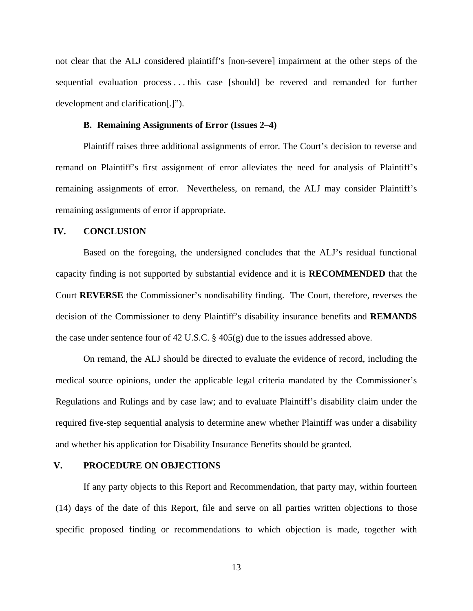not clear that the ALJ considered plaintiff's [non-severe] impairment at the other steps of the sequential evaluation process . . . this case [should] be revered and remanded for further development and clarification[.]").

# **B. Remaining Assignments of Error (Issues 2–4)**

Plaintiff raises three additional assignments of error. The Court's decision to reverse and remand on Plaintiff's first assignment of error alleviates the need for analysis of Plaintiff's remaining assignments of error. Nevertheless, on remand, the ALJ may consider Plaintiff's remaining assignments of error if appropriate.

## **IV. CONCLUSION**

 Based on the foregoing, the undersigned concludes that the ALJ's residual functional capacity finding is not supported by substantial evidence and it is **RECOMMENDED** that the Court **REVERSE** the Commissioner's nondisability finding. The Court, therefore, reverses the decision of the Commissioner to deny Plaintiff's disability insurance benefits and **REMANDS** the case under sentence four of 42 U.S.C. § 405(g) due to the issues addressed above.

 On remand, the ALJ should be directed to evaluate the evidence of record, including the medical source opinions, under the applicable legal criteria mandated by the Commissioner's Regulations and Rulings and by case law; and to evaluate Plaintiff's disability claim under the required five-step sequential analysis to determine anew whether Plaintiff was under a disability and whether his application for Disability Insurance Benefits should be granted.

## **V. PROCEDURE ON OBJECTIONS**

 If any party objects to this Report and Recommendation, that party may, within fourteen (14) days of the date of this Report, file and serve on all parties written objections to those specific proposed finding or recommendations to which objection is made, together with